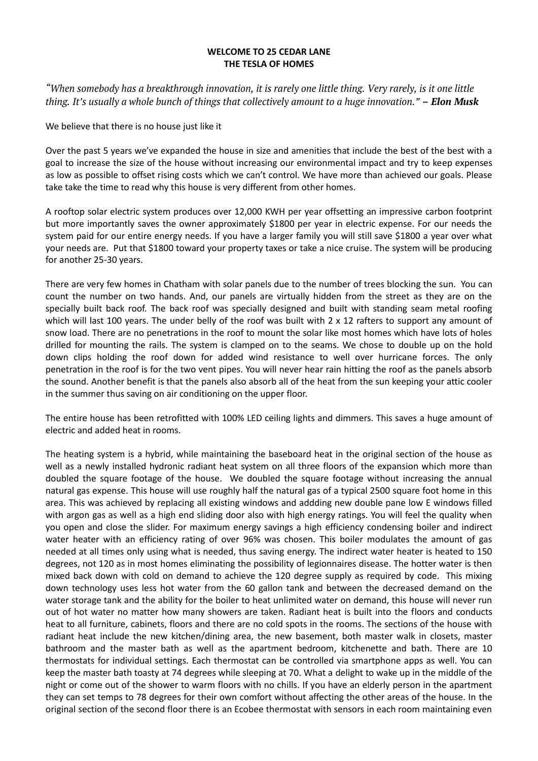## **WELCOME TO 25 CEDAR LANE THE TESLA OF HOMES**

*"When somebody has a breakthrough innovation, it is rarely one little thing. Very rarely, is it one little thing. It's usually a whole bunch of things that collectively amount to a huge innovation." – Elon Musk*

We believe that there is no house just like it

Over the past 5 years we've expanded the house in size and amenities that include the best of the best with a goal to increase the size of the house without increasing our environmental impact and try to keep expenses as low as possible to offset rising costs which we can't control. We have more than achieved our goals. Please take take the time to read why this house is very different from other homes.

A rooftop solar electric system produces over 12,000 KWH per year offsetting an impressive carbon footprint but more importantly saves the owner approximately \$1800 per year in electric expense. For our needs the system paid for our entire energy needs. If you have a larger family you will still save \$1800 a year over what your needs are. Put that \$1800 toward your property taxes or take a nice cruise. The system will be producing for another 25-30 years.

There are very few homes in Chatham with solar panels due to the number of trees blocking the sun. You can count the number on two hands. And, our panels are virtually hidden from the street as they are on the specially built back roof. The back roof was specially designed and built with standing seam metal roofing which will last 100 years. The under belly of the roof was built with 2 x 12 rafters to support any amount of snow load. There are no penetrations in the roof to mount the solar like most homes which have lots of holes drilled for mounting the rails. The system is clamped on to the seams. We chose to double up on the hold down clips holding the roof down for added wind resistance to well over hurricane forces. The only penetration in the roof is for the two vent pipes. You will never hear rain hitting the roof as the panels absorb the sound. Another benefit is that the panels also absorb all of the heat from the sun keeping your attic cooler in the summer thus saving on air conditioning on the upper floor.

The entire house has been retrofitted with 100% LED ceiling lights and dimmers. This saves a huge amount of electric and added heat in rooms.

The heating system is a hybrid, while maintaining the baseboard heat in the original section of the house as well as a newly installed hydronic radiant heat system on all three floors of the expansion which more than doubled the square footage of the house. We doubled the square footage without increasing the annual natural gas expense. This house will use roughly half the natural gas of a typical 2500 square foot home in this area. This was achieved by replacing all existing windows and addding new double pane low E windows filled with argon gas as well as a high end sliding door also with high energy ratings. You will feel the quality when you open and close the slider. For maximum energy savings a high efficiency condensing boiler and indirect water heater with an efficiency rating of over 96% was chosen. This boiler modulates the amount of gas needed at all times only using what is needed, thus saving energy. The indirect water heater is heated to 150 degrees, not 120 as in most homes eliminating the possibility of legionnaires disease. The hotter water is then mixed back down with cold on demand to achieve the 120 degree supply as required by code. This mixing down technology uses less hot water from the 60 gallon tank and between the decreased demand on the water storage tank and the ability for the boiler to heat unlimited water on demand, this house will never run out of hot water no matter how many showers are taken. Radiant heat is built into the floors and conducts heat to all furniture, cabinets, floors and there are no cold spots in the rooms. The sections of the house with radiant heat include the new kitchen/dining area, the new basement, both master walk in closets, master bathroom and the master bath as well as the apartment bedroom, kitchenette and bath. There are 10 thermostats for individual settings. Each thermostat can be controlled via smartphone apps as well. You can keep the master bath toasty at 74 degrees while sleeping at 70. What a delight to wake up in the middle of the night or come out of the shower to warm floors with no chills. If you have an elderly person in the apartment they can set temps to 78 degrees for their own comfort without affecting the other areas of the house. In the original section of the second floor there is an Ecobee thermostat with sensors in each room maintaining even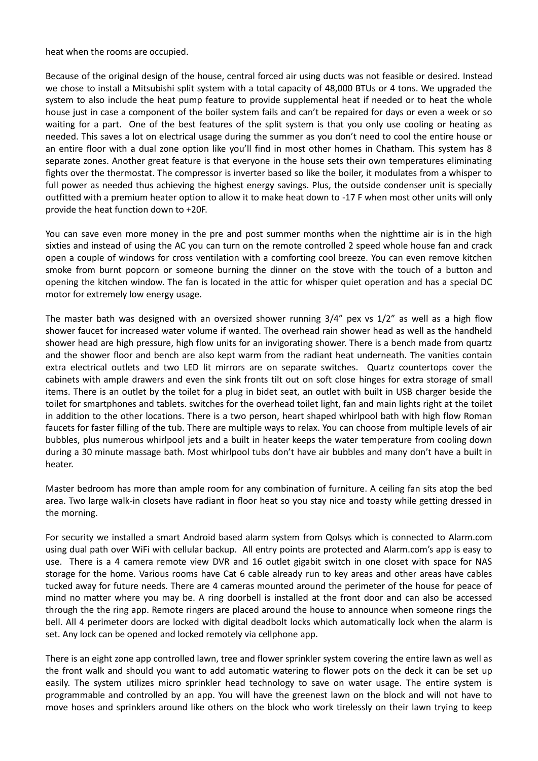heat when the rooms are occupied.

Because of the original design of the house, central forced air using ducts was not feasible or desired. Instead we chose to install a Mitsubishi split system with a total capacity of 48,000 BTUs or 4 tons. We upgraded the system to also include the heat pump feature to provide supplemental heat if needed or to heat the whole house just in case a component of the boiler system fails and can't be repaired for days or even a week or so waiting for a part. One of the best features of the split system is that you only use cooling or heating as needed. This saves a lot on electrical usage during the summer as you don't need to cool the entire house or an entire floor with a dual zone option like you'll find in most other homes in Chatham. This system has 8 separate zones. Another great feature is that everyone in the house sets their own temperatures eliminating fights over the thermostat. The compressor is inverter based so like the boiler, it modulates from a whisper to full power as needed thus achieving the highest energy savings. Plus, the outside condenser unit is specially outfitted with a premium heater option to allow it to make heat down to -17 F when most other units will only provide the heat function down to +20F.

You can save even more money in the pre and post summer months when the nighttime air is in the high sixties and instead of using the AC you can turn on the remote controlled 2 speed whole house fan and crack open a couple of windows for cross ventilation with a comforting cool breeze. You can even remove kitchen smoke from burnt popcorn or someone burning the dinner on the stove with the touch of a button and opening the kitchen window. The fan is located in the attic for whisper quiet operation and has a special DC motor for extremely low energy usage.

The master bath was designed with an oversized shower running 3/4" pex vs 1/2" as well as a high flow shower faucet for increased water volume if wanted. The overhead rain shower head as well as the handheld shower head are high pressure, high flow units for an invigorating shower. There is a bench made from quartz and the shower floor and bench are also kept warm from the radiant heat underneath. The vanities contain extra electrical outlets and two LED lit mirrors are on separate switches. Quartz countertops cover the cabinets with ample drawers and even the sink fronts tilt out on soft close hinges for extra storage of small items. There is an outlet by the toilet for a plug in bidet seat, an outlet with built in USB charger beside the toilet for smartphones and tablets. switches for the overhead toilet light, fan and main lights right at the toilet in addition to the other locations. There is a two person, heart shaped whirlpool bath with high flow Roman faucets for faster filling of the tub. There are multiple ways to relax. You can choose from multiple levels of air bubbles, plus numerous whirlpool jets and a built in heater keeps the water temperature from cooling down during a 30 minute massage bath. Most whirlpool tubs don't have air bubbles and many don't have a built in heater.

Master bedroom has more than ample room for any combination of furniture. A ceiling fan sits atop the bed area. Two large walk-in closets have radiant in floor heat so you stay nice and toasty while getting dressed in the morning.

For security we installed a smart Android based alarm system from Qolsys which is connected to Alarm.com using dual path over WiFi with cellular backup. All entry points are protected and Alarm.com's app is easy to use. There is a 4 camera remote view DVR and 16 outlet gigabit switch in one closet with space for NAS storage for the home. Various rooms have Cat 6 cable already run to key areas and other areas have cables tucked away for future needs. There are 4 cameras mounted around the perimeter of the house for peace of mind no matter where you may be. A ring doorbell is installed at the front door and can also be accessed through the the ring app. Remote ringers are placed around the house to announce when someone rings the bell. All 4 perimeter doors are locked with digital deadbolt locks which automatically lock when the alarm is set. Any lock can be opened and locked remotely via cellphone app.

There is an eight zone app controlled lawn, tree and flower sprinkler system covering the entire lawn as well as the front walk and should you want to add automatic watering to flower pots on the deck it can be set up easily. The system utilizes micro sprinkler head technology to save on water usage. The entire system is programmable and controlled by an app. You will have the greenest lawn on the block and will not have to move hoses and sprinklers around like others on the block who work tirelessly on their lawn trying to keep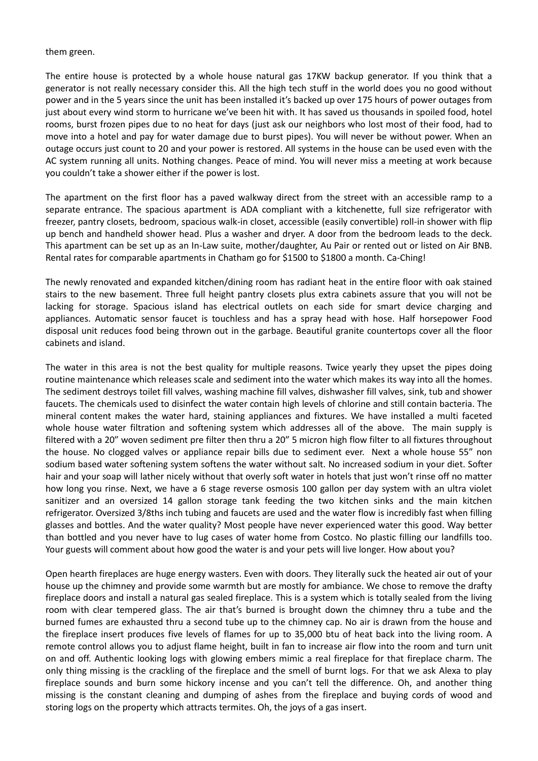## them green.

The entire house is protected by a whole house natural gas 17KW backup generator. If you think that a generator is not really necessary consider this. All the high tech stuff in the world does you no good without power and in the 5 years since the unit has been installed it's backed up over 175 hours of power outages from just about every wind storm to hurricane we've been hit with. It has saved us thousands in spoiled food, hotel rooms, burst frozen pipes due to no heat for days (just ask our neighbors who lost most of their food, had to move into a hotel and pay for water damage due to burst pipes). You will never be without power. When an outage occurs just count to 20 and your power is restored. All systems in the house can be used even with the AC system running all units. Nothing changes. Peace of mind. You will never miss a meeting at work because you couldn't take a shower either if the power is lost.

The apartment on the first floor has a paved walkway direct from the street with an accessible ramp to a separate entrance. The spacious apartment is ADA compliant with a kitchenette, full size refrigerator with freezer, pantry closets, bedroom, spacious walk-in closet, accessible (easily convertible) roll-in shower with flip up bench and handheld shower head. Plus a washer and dryer. A door from the bedroom leads to the deck. This apartment can be set up as an In-Law suite, mother/daughter, Au Pair or rented out or listed on Air BNB. Rental rates for comparable apartments in Chatham go for \$1500 to \$1800 a month. Ca-Ching!

The newly renovated and expanded kitchen/dining room has radiant heat in the entire floor with oak stained stairs to the new basement. Three full height pantry closets plus extra cabinets assure that you will not be lacking for storage. Spacious island has electrical outlets on each side for smart device charging and appliances. Automatic sensor faucet is touchless and has a spray head with hose. Half horsepower Food disposal unit reduces food being thrown out in the garbage. Beautiful granite countertops cover all the floor cabinets and island.

The water in this area is not the best quality for multiple reasons. Twice yearly they upset the pipes doing routine maintenance which releases scale and sediment into the water which makes its way into all the homes. The sediment destroys toilet fill valves, washing machine fill valves, dishwasher fill valves, sink, tub and shower faucets. The chemicals used to disinfect the water contain high levels of chlorine and still contain bacteria. The mineral content makes the water hard, staining appliances and fixtures. We have installed a multi faceted whole house water filtration and softening system which addresses all of the above. The main supply is filtered with a 20" woven sediment pre filter then thru a 20" 5 micron high flow filter to all fixtures throughout the house. No clogged valves or appliance repair bills due to sediment ever. Next a whole house 55" non sodium based water softening system softens the water without salt. No increased sodium in your diet. Softer hair and your soap will lather nicely without that overly soft water in hotels that just won't rinse off no matter how long you rinse. Next, we have a 6 stage reverse osmosis 100 gallon per day system with an ultra violet sanitizer and an oversized 14 gallon storage tank feeding the two kitchen sinks and the main kitchen refrigerator. Oversized 3/8ths inch tubing and faucets are used and the water flow is incredibly fast when filling glasses and bottles. And the water quality? Most people have never experienced water this good. Way better than bottled and you never have to lug cases of water home from Costco. No plastic filling our landfills too. Your guests will comment about how good the water is and your pets will live longer. How about you?

Open hearth fireplaces are huge energy wasters. Even with doors. They literally suck the heated air out of your house up the chimney and provide some warmth but are mostly for ambiance. We chose to remove the drafty fireplace doors and install a natural gas sealed fireplace. This is a system which is totally sealed from the living room with clear tempered glass. The air that's burned is brought down the chimney thru a tube and the burned fumes are exhausted thru a second tube up to the chimney cap. No air is drawn from the house and the fireplace insert produces five levels of flames for up to 35,000 btu of heat back into the living room. A remote control allows you to adjust flame height, built in fan to increase air flow into the room and turn unit on and off. Authentic looking logs with glowing embers mimic a real fireplace for that fireplace charm. The only thing missing is the crackling of the fireplace and the smell of burnt logs. For that we ask Alexa to play fireplace sounds and burn some hickory incense and you can't tell the difference. Oh, and another thing missing is the constant cleaning and dumping of ashes from the fireplace and buying cords of wood and storing logs on the property which attracts termites. Oh, the joys of a gas insert.